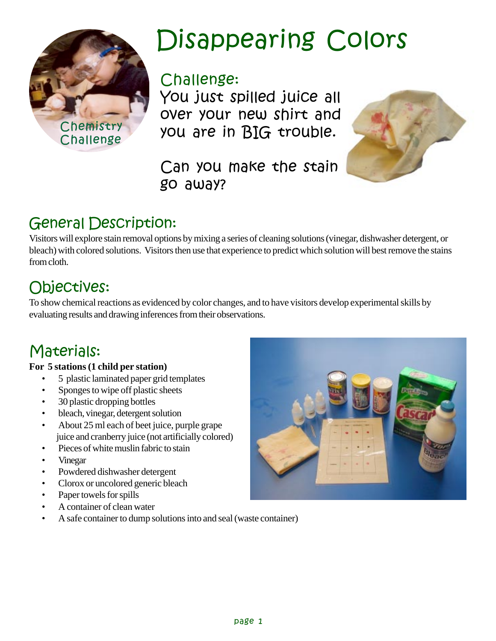

## Disappearing Colors

### Challenge:

You just spilled juice all over your new shirt and you are in BIG trouble.

Can you make the stain go away?



## **General Description:**

Visitors will explore stain removal options by mixing a series of cleaning solutions (vinegar, dishwasher detergent, or bleach) with colored solutions. Visitors then use that experience to predict which solution will best remove the stains from cloth.

## Objectives:

To show chemical reactions as evidenced by color changes, and to have visitors develop experimental skills by evaluating results and drawing inferences from their observations.

## Materials:

#### **For 5 stations (1 child per station)**

- 5 plastic laminated paper grid templates
- Sponges to wipe off plastic sheets
- 30 plastic dropping bottles
- bleach, vinegar, detergent solution
- About 25 ml each of beet juice, purple grape juice and cranberry juice (not artificially colored)
- Pieces of white muslin fabric to stain
- Vinegar
- Powdered dishwasher detergent
- Clorox or uncolored generic bleach
- Paper towels for spills
- A container of clean water
- A safe container to dump solutions into and seal (waste container)

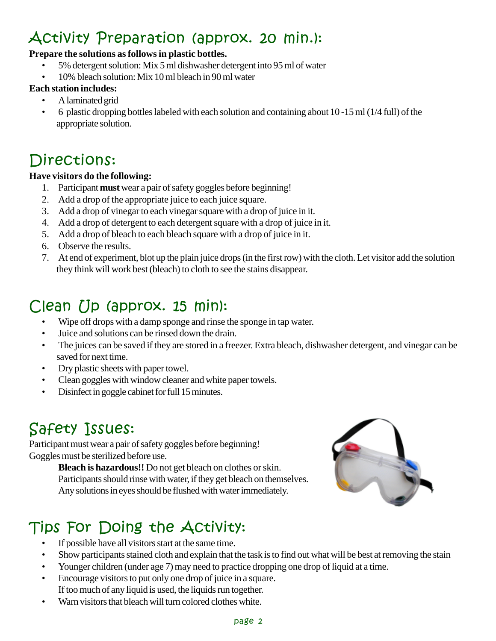## Activity Preparation (approx. 20 min.):

#### **Prepare the solutions as follows in plastic bottles.**

- 5% detergent solution: Mix 5 ml dishwasher detergent into 95 ml of water
- 10% bleach solution: Mix 10 ml bleach in 90 ml water

#### **Each station includes:**

- A laminated grid
- 6 plastic dropping bottles labeled with each solution and containing about 10 -15 ml (1/4 full) of the appropriate solution.

## Directions:

#### **Have visitors do the following:**

- 1. Participant **must** wear a pair of safety goggles before beginning!
- 2. Add a drop of the appropriate juice to each juice square.
- 3. Add a drop of vinegar to each vinegar square with a drop of juice in it.
- 4. Add a drop of detergent to each detergent square with a drop of juice in it.
- 5. Add a drop of bleach to each bleach square with a drop of juice in it.
- 6. Observe the results.
- 7. At end of experiment, blot up the plain juice drops (in the first row) with the cloth. Let visitor add the solution they think will work best (bleach) to cloth to see the stains disappear.

## Clean Up (approx. 15 min):

- Wipe off drops with a damp sponge and rinse the sponge in tap water.
- Juice and solutions can be rinsed down the drain.
- The juices can be saved if they are stored in a freezer. Extra bleach, dishwasher detergent, and vinegar can be saved for next time.
- Dry plastic sheets with paper towel.
- Clean goggles with window cleaner and white paper towels.
- Disinfect in goggle cabinet for full 15 minutes.

## Safety Issues:

Participant must wear a pair of safety goggles before beginning! Goggles must be sterilized before use.

**Bleach is hazardous!!** Do not get bleach on clothes or skin. Participants should rinse with water, if they get bleach on themselves. Any solutions in eyes should be flushed with water immediately.

## Tips For Doing the Activity:

- If possible have all visitors start at the same time.
- Show participants stained cloth and explain that the task is to find out what will be best at removing the stain
- Younger children (under age 7) may need to practice dropping one drop of liquid at a time.
- Encourage visitors to put only one drop of juice in a square. If too much of any liquid is used, the liquids run together.
- Warn visitors that bleach will turn colored clothes white.

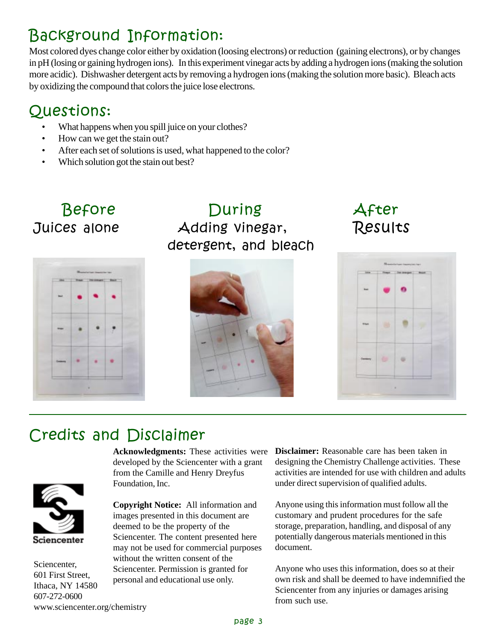## Background Information:

Most colored dyes change color either by oxidation (loosing electrons) or reduction (gaining electrons), or by changes in pH (losing or gaining hydrogen ions). In this experiment vinegar acts by adding a hydrogen ions (making the solution more acidic). Dishwasher detergent acts by removing a hydrogen ions (making the solution more basic). Bleach acts by oxidizing the compound that colors the juice lose electrons.

## Questions:

- What happens when you spill juice on your clothes?
- How can we get the stain out?
- After each set of solutions is used, what happened to the color?
- Which solution got the stain out best?

# Juices alon



Before During # detergent, and bleach



After Results



## **Credits and Disclaimer**



Sciencenter, 601 First Street, Ithaca, NY 14580 607-272-0600 www.sciencenter.org/chemistry

**Acknowledgments:** These activities were developed by the Sciencenter with a grant from the Camille and Henry Dreyfus Foundation, Inc.

**Copyright Notice:** All information and images presented in this document are deemed to be the property of the Sciencenter. The content presented here may not be used for commercial purposes without the written consent of the Sciencenter. Permission is granted for personal and educational use only.

**Disclaimer:** Reasonable care has been taken in designing the Chemistry Challenge activities. These activities are intended for use with children and adults under direct supervision of qualified adults.

Anyone using this information must follow all the customary and prudent procedures for the safe storage, preparation, handling, and disposal of any potentially dangerous materials mentioned in this document.

Anyone who uses this information, does so at their own risk and shall be deemed to have indemnified the Sciencenter from any injuries or damages arising from such use.